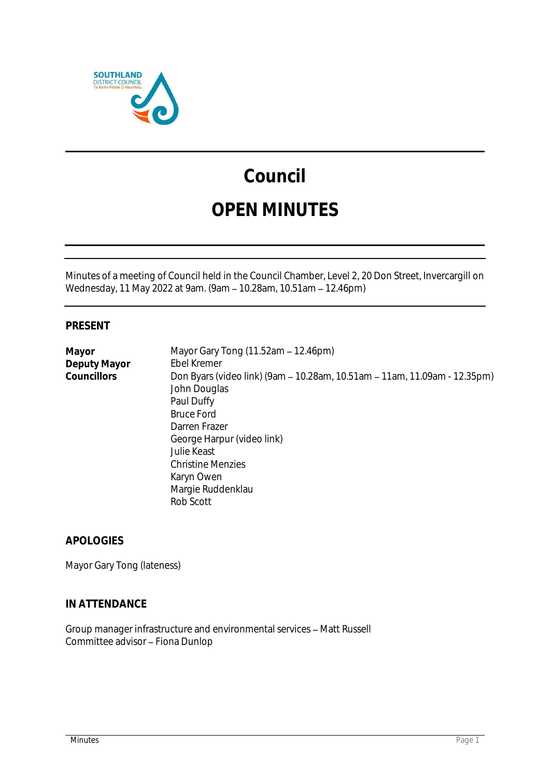

# **Council OPEN MINUTES**

Minutes of a meeting of Council held in the Council Chamber, Level 2, 20 Don Street, Invercargill on Wednesday, 11 May 2022 at 9am. (9am - 10.28am, 10.51am - 12.46pm)

# **PRESENT**

| Mayor        | Mayor Gary Tong (11.52am - 12.46pm)                                       |
|--------------|---------------------------------------------------------------------------|
| Deputy Mayor | Ebel Kremer                                                               |
| Councillors  | Don Byars (video link) (9am – 10.28am, 10.51am – 11am, 11.09am - 12.35pm) |
|              | John Douglas                                                              |
|              | Paul Duffy                                                                |
|              | <b>Bruce Ford</b>                                                         |
|              | Darren Frazer                                                             |
|              | George Harpur (video link)                                                |
|              | Julie Keast                                                               |
|              | <b>Christine Menzies</b>                                                  |
|              | Karyn Owen                                                                |
|              | Margie Ruddenklau                                                         |
|              | Rob Scott                                                                 |
|              |                                                                           |

**APOLOGIES**

Mayor Gary Tong (lateness)

# **IN ATTENDANCE**

Group manager infrastructure and environmental services - Matt Russell Committee advisor - Fiona Dunlop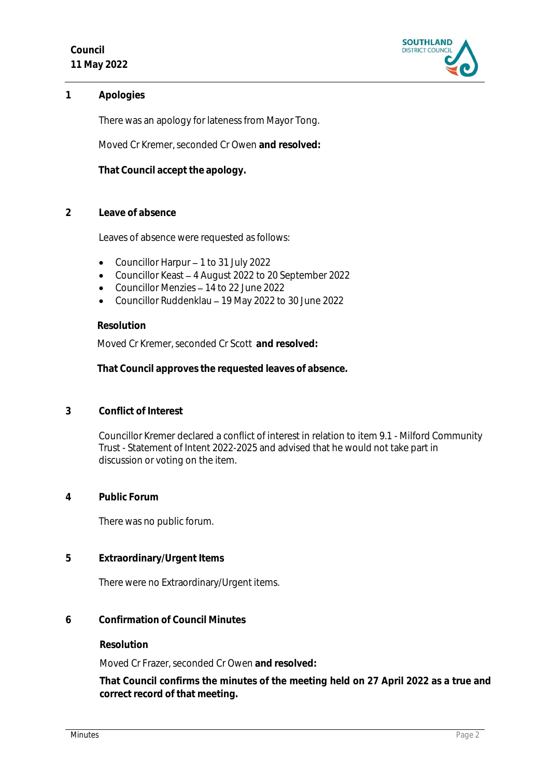

**1 Apologies** 

There was an apology for lateness from Mayor Tong.

Moved Cr Kremer, seconded Cr Owen **and resolved:**

**That Council accept the apology.**

**2 Leave of absence** 

Leaves of absence were requested as follows:

- Councillor Harpur  $-1$  to 31 July 2022
- Councillor Keast 4 August 2022 to 20 September 2022
- Councillor Menzies 14 to 22 June 2022
- Councillor Ruddenklau 19 May 2022 to 30 June 2022

#### **Resolution**

Moved Cr Kremer, seconded Cr Scott **and resolved:**

**That Council approves the requested leaves of absence.**

**3 Conflict of Interest**

Councillor Kremer declared a conflict of interest in relation to item 9.1 - Milford Community Trust - Statement of Intent 2022-2025 and advised that he would not take part in discussion or voting on the item.

**4 Public Forum**

There was no public forum.

**5 Extraordinary/Urgent Items**

There were no Extraordinary/Urgent items.

**6 Confirmation of Council Minutes**

**Resolution**

Moved Cr Frazer, seconded Cr Owen **and resolved:**

**That Council confirms the minutes of the meeting held on 27 April 2022 as a true and correct record of that meeting.**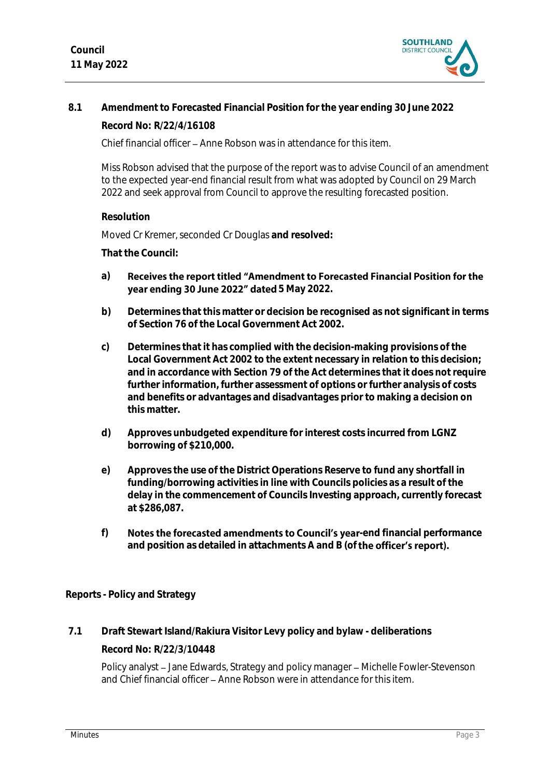

# **8.1 Amendment to Forecasted Financial Position for the year ending 30 June 2022**

**Record No: R/22/4/16108**

Chief financial officer – Anne Robson was in attendance for this item.

Miss Robson advised that the purpose of the report was to advise Council of an amendment to the expected year-end financial result from what was adopted by Council on 29 March 2022 and seek approval from Council to approve the resulting forecasted position.

**Resolution**

Moved Cr Kremer, seconded Cr Douglas **and resolved:**

**That the Council:**

- **a)** Receives the report titled "Amendment to Forecasted Financial Position for the **vear ending 30 June 2022" dated 5 May 2022.**
- **b) Determines that this matter or decision be recognised as not significant in terms of Section 76 of the Local Government Act 2002.**
- **c) Determines that it has complied with the decision-making provisions of the Local Government Act 2002 to the extent necessary in relation to this decision; and in accordance with Section 79 of the Act determines that it does not require further information, further assessment of options or further analysis of costs and benefits or advantages and disadvantages prior to making a decision on this matter.**
- **d) Approves unbudgeted expenditure for interest costs incurred from LGNZ borrowing of \$210,000.**
- **e) Approves the use of the District Operations Reserve to fund any shortfall in funding/borrowing activities in line with Councils policies as a result of the delay in the commencement of Councils Investing approach, currently forecast at \$286,087.**
- f) Notes the forecasted amendments to Council's year-end financial performance and position as detailed in attachments A and B (of **the officer's report).**

**Reports - Policy and Strategy**

**7.1 Draft Stewart Island/Rakiura Visitor Levy policy and bylaw - deliberations**

**Record No: R/22/3/10448**

Policy analyst - Jane Edwards, Strategy and policy manager - Michelle Fowler-Stevenson and Chief financial officer – Anne Robson were in attendance for this item.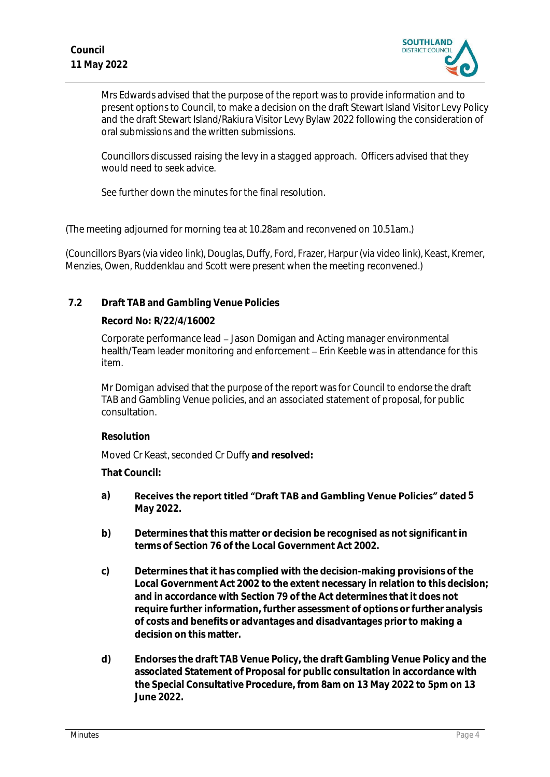

Mrs Edwards advised that the purpose of the report was to provide information and to present options to Council, to make a decision on the draft Stewart Island Visitor Levy Policy and the draft Stewart Island/Rakiura Visitor Levy Bylaw 2022 following the consideration of oral submissions and the written submissions.

Councillors discussed raising the levy in a stagged approach. Officers advised that they would need to seek advice.

See further down the minutes for the final resolution.

(The meeting adjourned for morning tea at 10.28am and reconvened on 10.51am.)

(Councillors Byars (via video link), Douglas, Duffy, Ford, Frazer, Harpur (via video link), Keast, Kremer, Menzies, Owen, Ruddenklau and Scott were present when the meeting reconvened.)

# **7.2 Draft TAB and Gambling Venue Policies**

# **Record No: R/22/4/16002**

Corporate performance lead Jason Domigan and Acting manager environmental health/Team leader monitoring and enforcement – Erin Keeble was in attendance for this item.

Mr Domigan advised that the purpose of the report was for Council to endorse the draft TAB and Gambling Venue policies, and an associated statement of proposal, for public consultation.

# **Resolution**

Moved Cr Keast, seconded Cr Duffy **and resolved:**

**That Council:**

- a) Receives the report titled "Draft TAB and Gambling Venue Policies" dated 5 **May 2022.**
- **b) Determines that this matter or decision be recognised as not significant in terms of Section 76 of the Local Government Act 2002.**
- **c) Determines that it has complied with the decision-making provisions of the Local Government Act 2002 to the extent necessary in relation to this decision; and in accordance with Section 79 of the Act determines that it does not require further information, further assessment of options or further analysis of costs and benefits or advantages and disadvantages prior to making a decision on this matter.**
- **d) Endorses the draft TAB Venue Policy, the draft Gambling Venue Policy and the associated Statement of Proposal for public consultation in accordance with the Special Consultative Procedure, from 8am on 13 May 2022 to 5pm on 13 June 2022.**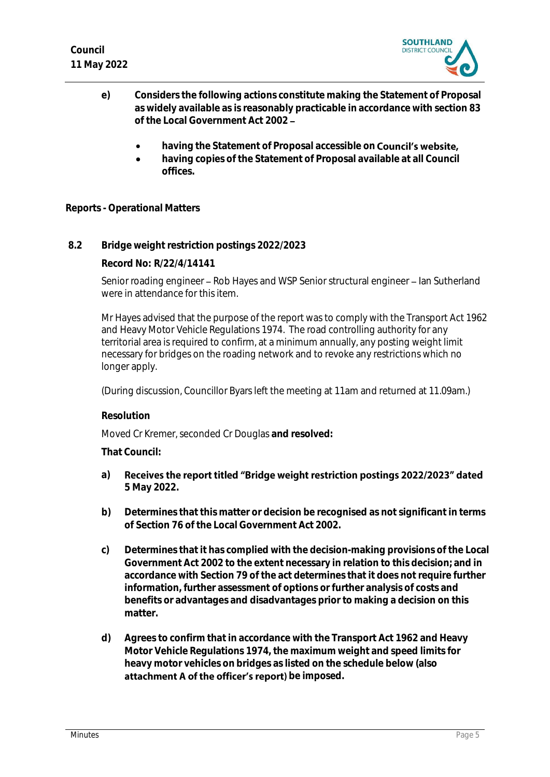

- **e) Considers the following actions constitute making the Statement of Proposal as widely available as is reasonably practicable in accordance with section 83 of the Local Government Act 2002** 
	- **having the Statement of Proposal accessible on**
	- **having copies of the Statement of Proposal available at all Council offices.**

**Reports - Operational Matters**

**8.2 Bridge weight restriction postings 2022/2023**

**Record No: R/22/4/14141**

Senior roading engineer - Rob Hayes and WSP Senior structural engineer - Ian Sutherland were in attendance for this item.

Mr Hayes advised that the purpose of the report was to comply with the Transport Act 1962 and Heavy Motor Vehicle Regulations 1974. The road controlling authority for any territorial area is required to confirm, at a minimum annually, any posting weight limit necessary for bridges on the roading network and to revoke any restrictions which no longer apply.

(During discussion, Councillor Byars left the meeting at 11am and returned at 11.09am.)

**Resolution**

Moved Cr Kremer, seconded Cr Douglas **and resolved:**

**That Council:**

- **a)** Receives the report titled "Bridge weight restriction postings 2022/2023" dated **5 May 2022.**
- **b) Determines that this matter or decision be recognised as not significant in terms of Section 76 of the Local Government Act 2002.**
- **c) Determines that it has complied with the decision-making provisions of the Local Government Act 2002 to the extent necessary in relation to this decision; and in accordance with Section 79 of the act determines that it does not require further information, further assessment of options or further analysis of costs and benefits or advantages and disadvantages prior to making a decision on this matter.**
- **d) Agrees to confirm that in accordance with the Transport Act 1962 and Heavy Motor Vehicle Regulations 1974, the maximum weight and speed limits for heavy motor vehicles on bridges as listed on the schedule below (also**  attachment A of the officer's report) be imposed.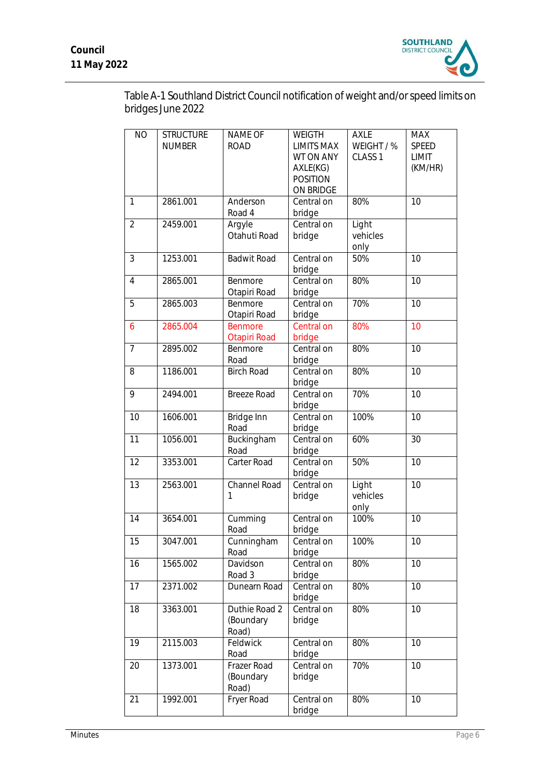

Table A-1 Southland District Council notification of weight and/or speed limits on bridges June 2022

| <b>NO</b>      | <b>STRUCTURE</b><br><b>NUMBER</b> | NAME OF<br><b>ROAD</b>              | WEIGTH<br><b>LIMITS MAX</b><br>WT ON ANY<br>AXLE(KG)<br><b>POSITION</b><br>ON BRIDGE | <b>AXLE</b><br>WEIGHT / %<br>CLASS <sub>1</sub> | <b>MAX</b><br>SPEED<br>LIMIT<br>(KM/HR) |
|----------------|-----------------------------------|-------------------------------------|--------------------------------------------------------------------------------------|-------------------------------------------------|-----------------------------------------|
| $\mathbf{1}$   | 2861.001                          | Anderson<br>Road 4                  | Central on<br>bridge                                                                 | 80%                                             | 10                                      |
| $\overline{2}$ | 2459.001                          | Argyle<br>Otahuti Road              | Central on<br>bridge                                                                 | Light<br>vehicles<br>only                       |                                         |
| 3              | 1253.001                          | <b>Badwit Road</b>                  | Central on<br>bridge                                                                 | 50%                                             | 10                                      |
| $\overline{4}$ | 2865.001                          | Benmore<br>Otapiri Road             | Central on<br>bridge                                                                 | 80%                                             | 10                                      |
| 5              | 2865.003                          | Benmore<br>Otapiri Road             | Central on<br>bridge                                                                 | 70%                                             | 10                                      |
| 6              | 2865.004                          | <b>Benmore</b><br>Otapiri Road      | Central on<br>bridge                                                                 | 80%                                             | 10                                      |
| 7              | 2895.002                          | Benmore<br>Road                     | Central on<br>bridge                                                                 | 80%                                             | 10                                      |
| 8              | 1186.001                          | <b>Birch Road</b>                   | Central on<br>bridge                                                                 | 80%                                             | 10                                      |
| 9              | 2494.001                          | <b>Breeze Road</b>                  | Central on<br>bridge                                                                 | 70%                                             | 10                                      |
| 10             | 1606.001                          | Bridge Inn<br>Road                  | Central on<br>bridge                                                                 | 100%                                            | 10                                      |
| 11             | 1056.001                          | Buckingham<br>Road                  | Central on<br>bridge                                                                 | 60%                                             | 30                                      |
| 12             | 3353.001                          | Carter Road                         | Central on<br>bridge                                                                 | 50%                                             | 10                                      |
| 13             | 2563.001                          | Channel Road<br>1                   | Central on<br>bridge                                                                 | Light<br>vehicles<br>only                       | 10                                      |
| 14             | 3654.001                          | Cumming<br>Road                     | Central on<br>bridge                                                                 | 100%                                            | 10                                      |
| 15             | 3047.001                          | Cunningham<br>Road                  | Central on<br>bridge                                                                 | 100%                                            | 10                                      |
| 16             | 1565.002                          | Davidson<br>Road 3                  | Central on<br>bridge                                                                 | 80%                                             | 10                                      |
| 17             | 2371.002                          | Dunearn Road                        | Central on<br>bridge                                                                 | 80%                                             | 10                                      |
| 18             | 3363.001                          | Duthie Road 2<br>(Boundary<br>Road) | Central on<br>bridge                                                                 | 80%                                             | 10                                      |
| 19             | 2115.003                          | Feldwick<br>Road                    | Central on<br>bridge                                                                 | 80%                                             | 10                                      |
| 20             | 1373.001                          | Frazer Road<br>(Boundary<br>Road)   | Central on<br>bridge                                                                 | 70%                                             | 10                                      |
| 21             | 1992.001                          | Fryer Road                          | Central on<br>bridge                                                                 | 80%                                             | 10                                      |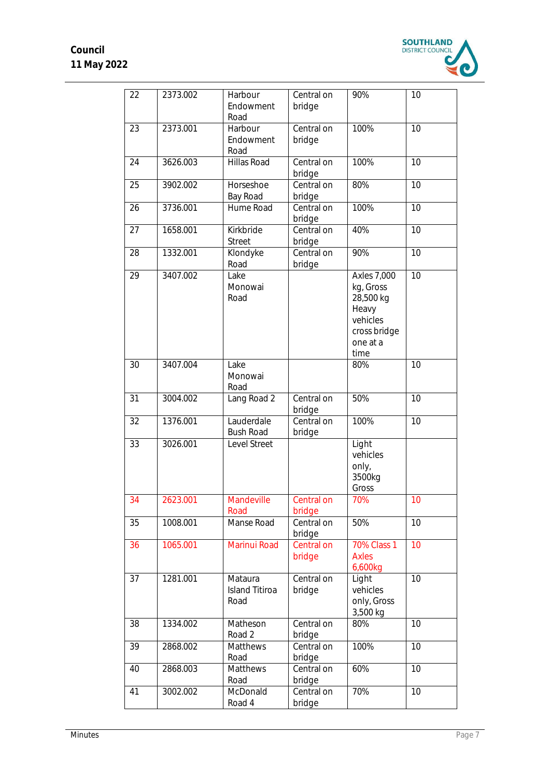

| 22 | 2373.002 | Harbour<br>Endowment<br>Road             | Central on<br>bridge | 90%                                                                                                   | 10 |
|----|----------|------------------------------------------|----------------------|-------------------------------------------------------------------------------------------------------|----|
| 23 | 2373.001 | Harbour<br>Endowment<br>Road             | Central on<br>bridge | 100%                                                                                                  | 10 |
| 24 | 3626.003 | Hillas Road                              | Central on<br>bridge | 100%                                                                                                  | 10 |
| 25 | 3902.002 | Horseshoe<br>Bay Road                    | Central on<br>bridge | 80%                                                                                                   | 10 |
| 26 | 3736.001 | Hume Road                                | Central on<br>bridge | 100%                                                                                                  | 10 |
| 27 | 1658.001 | Kirkbride<br><b>Street</b>               | Central on<br>bridge | 40%                                                                                                   | 10 |
| 28 | 1332.001 | Klondyke<br>Road                         | Central on<br>bridge | 90%                                                                                                   | 10 |
| 29 | 3407.002 | Lake<br>Monowai<br>Road                  |                      | <b>Axles 7,000</b><br>kg, Gross<br>28,500 kg<br>Heavy<br>vehicles<br>cross bridge<br>one at a<br>time | 10 |
| 30 | 3407.004 | Lake<br>Monowai<br>Road                  |                      | 80%                                                                                                   | 10 |
| 31 | 3004.002 | Lang Road 2                              | Central on<br>bridge | 50%                                                                                                   | 10 |
| 32 | 1376.001 | Lauderdale<br><b>Bush Road</b>           | Central on<br>bridge | 100%                                                                                                  | 10 |
| 33 | 3026.001 | Level Street                             |                      | Light<br>vehicles<br>only,<br>3500kg<br>Gross                                                         |    |
| 34 | 2623.001 | Mandeville<br>Road                       | Central on<br>bridge | 70%                                                                                                   | 10 |
| 35 | 1008.001 | Manse Road                               | Central on<br>bridge | 50%                                                                                                   | 10 |
| 36 | 1065.001 | Marinui Road                             | Central on<br>bridge | <b>70% Class 1</b><br><b>Axles</b><br>6,600kg                                                         | 10 |
| 37 | 1281.001 | Mataura<br><b>Island Titiroa</b><br>Road | Central on<br>bridge | Light<br>vehicles<br>only, Gross<br>3,500 kg                                                          | 10 |
| 38 | 1334.002 | Matheson<br>Road 2                       | Central on<br>bridge | 80%                                                                                                   | 10 |
| 39 | 2868.002 | Matthews<br>Road                         | Central on<br>bridge | 100%                                                                                                  | 10 |
| 40 | 2868.003 | Matthews<br>Road                         | Central on<br>bridge | 60%                                                                                                   | 10 |
| 41 | 3002.002 | McDonald<br>Road 4                       | Central on<br>bridge | 70%                                                                                                   | 10 |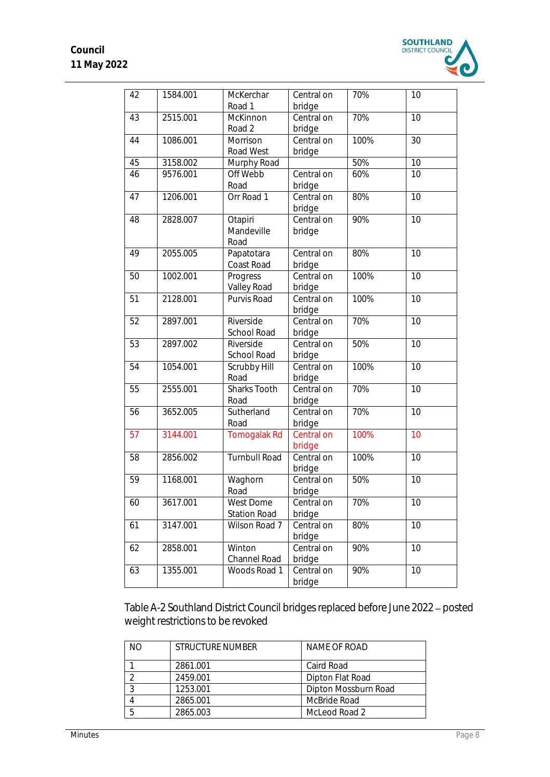

| 42 | 1584.001 | McKerchar<br>Road 1                     | Central on<br>bridge | 70%  | 10              |
|----|----------|-----------------------------------------|----------------------|------|-----------------|
| 43 | 2515.001 | McKinnon<br>Road 2                      | Central on<br>bridge | 70%  | 10              |
| 44 | 1086.001 | Morrison<br>Road West                   | Central on<br>bridge | 100% | 30              |
| 45 | 3158.002 | Murphy Road                             |                      | 50%  | 10              |
| 46 | 9576.001 | Off Webb<br>Road                        | Central on<br>bridge | 60%  | 10              |
| 47 | 1206.001 | Orr Road 1                              | Central on<br>bridge | 80%  | 10              |
| 48 | 2828.007 | Otapiri<br>Mandeville<br>Road           | Central on<br>bridge | 90%  | $\overline{10}$ |
| 49 | 2055.005 | Papatotara<br>Coast Road                | Central on<br>bridge | 80%  | 10              |
| 50 | 1002.001 | Progress<br>Valley Road                 | Central on<br>bridge | 100% | 10              |
| 51 | 2128.001 | Purvis Road                             | Central on<br>bridge | 100% | 10              |
| 52 | 2897.001 | Riverside<br>School Road                | Central on<br>bridge | 70%  | 10              |
| 53 | 2897.002 | Riverside<br>School Road                | Central on<br>bridge | 50%  | 10              |
| 54 | 1054.001 | Scrubby Hill<br>Road                    | Central on<br>bridge | 100% | 10              |
| 55 | 2555.001 | Sharks Tooth<br>Road                    | Central on<br>bridge | 70%  | 10              |
| 56 | 3652.005 | Sutherland<br>Road                      | Central on<br>bridge | 70%  | 10              |
| 57 | 3144.001 | <b>Tomogalak Rd</b>                     | Central on<br>bridge | 100% | 10              |
| 58 | 2856.002 | <b>Turnbull Road</b>                    | Central on<br>bridge | 100% | 10              |
| 59 | 1168.001 | Waghorn<br>Road                         | Central on<br>bridge | 50%  | 10              |
| 60 | 3617.001 | <b>West Dome</b><br><b>Station Road</b> | Central on<br>bridge | 70%  | 10              |
| 61 | 3147.001 | Wilson Road 7                           | Central on<br>bridge | 80%  | 10              |
| 62 | 2858.001 | Winton<br>Channel Road                  | Central on<br>bridge | 90%  | 10              |
| 63 | 1355.001 | Woods Road 1                            | Central on<br>bridge | 90%  | 10              |

Table A-2 Southland District Council bridges replaced before June 2022 - posted weight restrictions to be revoked

| N() | STRUCTURE NUMBER | NAME OF ROAD         |
|-----|------------------|----------------------|
|     | 2861.001         | Caird Road           |
|     | 2459.001         | Dipton Flat Road     |
| ി   | 1253.001         | Dipton Mossburn Road |
|     | 2865.001         | McBride Road         |
|     | 2865.003         | McLeod Road 2        |
|     |                  |                      |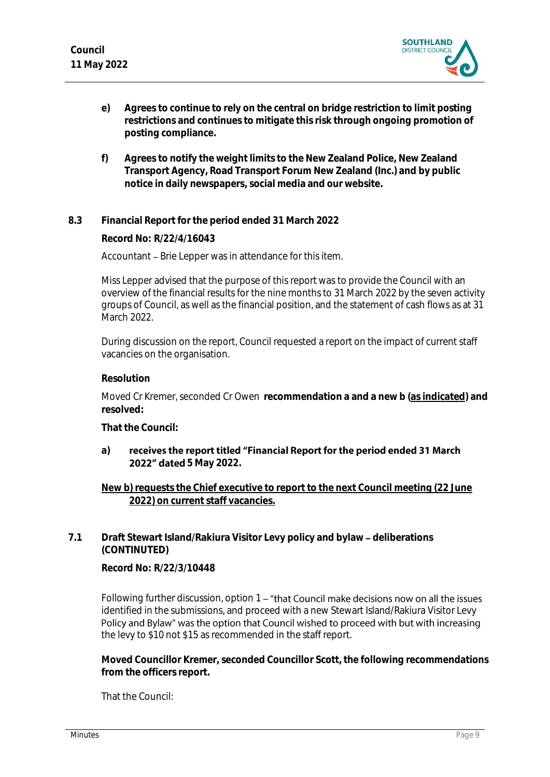

- **e) Agrees to continue to rely on the central on bridge restriction to limit posting restrictions and continues to mitigate this risk through ongoing promotion of posting compliance.**
- **f) Agrees to notify the weight limits to the New Zealand Police, New Zealand Transport Agency, Road Transport Forum New Zealand (Inc.) and by public notice in daily newspapers, social media and our website.**
- **8.3 Financial Report for the period ended 31 March 2022**

**Record No: R/22/4/16043**

Accountant – Brie Lepper was in attendance for this item.

Miss Lepper advised that the purpose of this report was to provide the Council with an overview of the financial results for the nine months to 31 March 2022 by the seven activity groups of Council, as well as the financial position, and the statement of cash flows as at 31 March 2022.

During discussion on the report, Council requested a report on the impact of current staff vacancies on the organisation.

# **Resolution**

Moved Cr Kremer, seconded Cr Owen **recommendation a and a new b (as indicated) and resolved:**

**That the Council:**

#### **a)** receives the report titled "Financial Report for the period ended 31 March **2022" dated** 5 May 2022.

**New b) requests the Chief executive to report to the next Council meeting (22 June 2022) on current staff vacancies.**

# 7.1 **Draft Stewart Island/Rakiura Visitor Levy policy and bylaw - deliberations (CONTINUTED)**

**Record No: R/22/3/10448**

Following further discussion, option 1 – "that Council make decisions now on all the issues identified in the submissions, and proceed with a new Stewart Island/Rakiura Visitor Levy Policy and Bylaw" was the option that Council wished to proceed with but with increasing the levy to \$10 not \$15 as recommended in the staff report.

**Moved Councillor Kremer, seconded Councillor Scott, the following recommendations from the officers report.**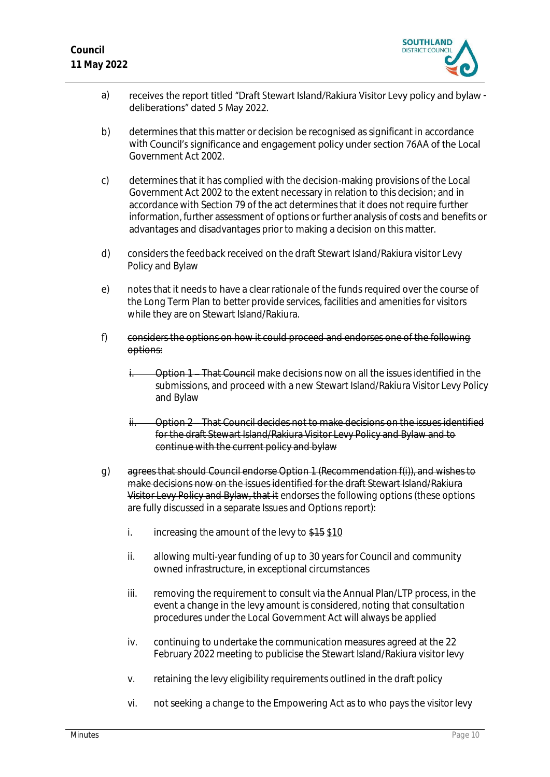

- a) receives the report titled "Draft Stewart Island/Rakiura Visitor Levy policy and bylaw deliberations" dated 5 May 2022.
- b) determines that this matter or decision be recognised as significant in accordance with Council's significance and engagement policy under section 76AA of the Local Government Act 2002.
- c) determines that it has complied with the decision-making provisions of the Local Government Act 2002 to the extent necessary in relation to this decision; and in accordance with Section 79 of the act determines that it does not require further information, further assessment of options or further analysis of costs and benefits or advantages and disadvantages prior to making a decision on this matter.
- d) considers the feedback received on the draft Stewart Island/Rakiura visitor Levy Policy and Bylaw
- e) notes that it needs to have a clear rationale of the funds required over the course of the Long Term Plan to better provide services, facilities and amenities for visitors while they are on Stewart Island/Rakiura.
- f) considers the options on how it could proceed and endorses one of the following options:
	- Option 1 That Council make decisions now on all the issues identified in the submissions, and proceed with a new Stewart Island/Rakiura Visitor Levy Policy and Bylaw
	- ii. Option 2 That Council decides not to make decisions on the issues identified for the draft Stewart Island/Rakiura Visitor Levy Policy and Bylaw and to continue with the current policy and bylaw
- g) agrees that should Council endorse Option 1 (Recommendation f(i)), and wishes to make decisions now on the issues identified for the draft Stewart Island/Rakiura Visitor Levy Policy and Bylaw, that it endorses the following options (these options are fully discussed in a separate Issues and Options report):
	- i. increasing the amount of the levy to  $$15$  \$10
	- ii. allowing multi-year funding of up to 30 years for Council and community owned infrastructure, in exceptional circumstances
	- iii. removing the requirement to consult via the Annual Plan/LTP process, in the event a change in the levy amount is considered, noting that consultation procedures under the Local Government Act will always be applied
	- iv. continuing to undertake the communication measures agreed at the 22 February 2022 meeting to publicise the Stewart Island/Rakiura visitor levy
	- v. retaining the levy eligibility requirements outlined in the draft policy
	- vi. not seeking a change to the Empowering Act as to who pays the visitor levy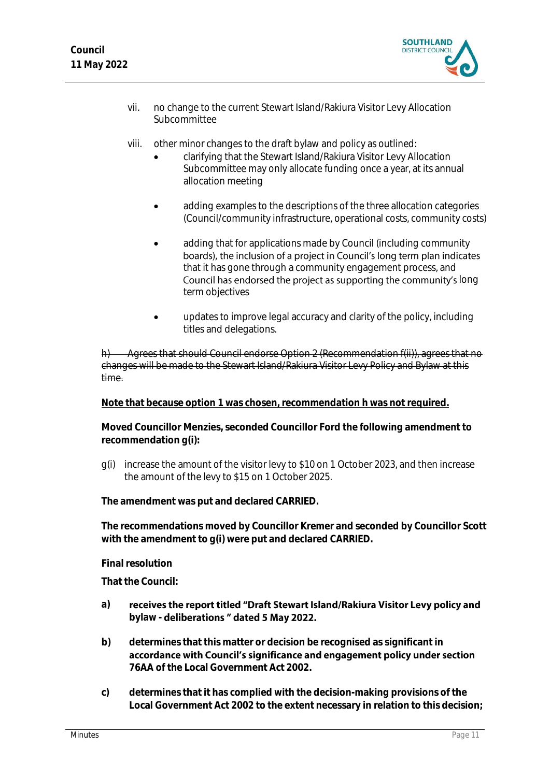

- vii. no change to the current Stewart Island/Rakiura Visitor Levy Allocation Subcommittee
- viii. other minor changes to the draft bylaw and policy as outlined:
	- clarifying that the Stewart Island/Rakiura Visitor Levy Allocation Subcommittee may only allocate funding once a year, at its annual allocation meeting
	- adding examples to the descriptions of the three allocation categories (Council/community infrastructure, operational costs, community costs)
	- adding that for applications made by Council (including community boards), the inclusion of a project in Council's long term plan indicates that it has gone through a community engagement process, and Council has endorsed the project as supporting the community's long term objectives
	- updates to improve legal accuracy and clarity of the policy, including titles and delegations.

Agrees that should Council endorse Option 2 (Recommendation f(ii)), agrees that no changes will be made to the Stewart Island/Rakiura Visitor Levy Policy and Bylaw at this time.

**Note that because option 1 was chosen, recommendation h was not required.**

**Moved Councillor Menzies, seconded Councillor Ford the following amendment to recommendation g(i):**

g(i) increase the amount of the visitor levy to \$10 on 1 October 2023, and then increase the amount of the levy to \$15 on 1 October 2025.

**The amendment was put and declared CARRIED.**

**The recommendations moved by Councillor Kremer and seconded by Councillor Scott with the amendment to g(i) were put and declared CARRIED.**

**Final resolution**

- receives the report titled "Draft Stewart Island/Rakiura Visitor Levy policy and **a)** bylaw - deliberations " dated 5 May 2022.
- **b) determines that this matter or decision be recognised as significant in**  accordance with Council's significance and engagement policy under section **76AA of the Local Government Act 2002.**
- **c) determines that it has complied with the decision-making provisions of the Local Government Act 2002 to the extent necessary in relation to this decision;**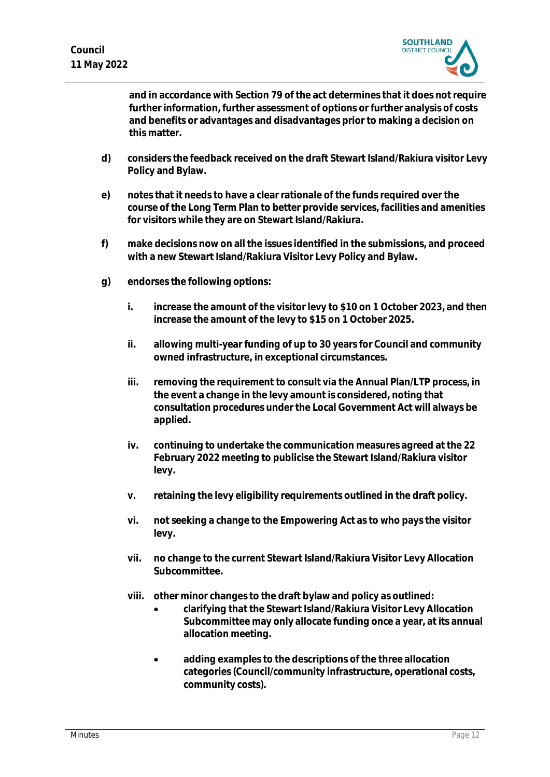

**and in accordance with Section 79 of the act determines that it does not require further information, further assessment of options or further analysis of costs and benefits or advantages and disadvantages prior to making a decision on this matter.**

- **d) considers the feedback received on the draft Stewart Island/Rakiura visitor Levy Policy and Bylaw.**
- **e) notes that it needs to have a clear rationale of the funds required over the course of the Long Term Plan to better provide services, facilities and amenities for visitors while they are on Stewart Island/Rakiura.**
- **f) make decisions now on all the issues identified in the submissions, and proceed with a new Stewart Island/Rakiura Visitor Levy Policy and Bylaw.**
- **g) endorses the following options:**
	- **i. increase the amount of the visitor levy to \$10 on 1 October 2023, and then increase the amount of the levy to \$15 on 1 October 2025.**
	- **ii. allowing multi-year funding of up to 30 years for Council and community owned infrastructure, in exceptional circumstances.**
	- **iii. removing the requirement to consult via the Annual Plan/LTP process, in the event a change in the levy amount is considered, noting that consultation procedures under the Local Government Act will always be applied.**
	- **iv. continuing to undertake the communication measures agreed at the 22 February 2022 meeting to publicise the Stewart Island/Rakiura visitor levy.**
	- **v. retaining the levy eligibility requirements outlined in the draft policy.**
	- **vi. not seeking a change to the Empowering Act as to who pays the visitor levy.**
	- **vii. no change to the current Stewart Island/Rakiura Visitor Levy Allocation Subcommittee.**
	- **viii. other minor changes to the draft bylaw and policy as outlined:**
		- **clarifying that the Stewart Island/Rakiura Visitor Levy Allocation Subcommittee may only allocate funding once a year, at its annual allocation meeting.**
		- **adding examples to the descriptions of the three allocation categories (Council/community infrastructure, operational costs, community costs).**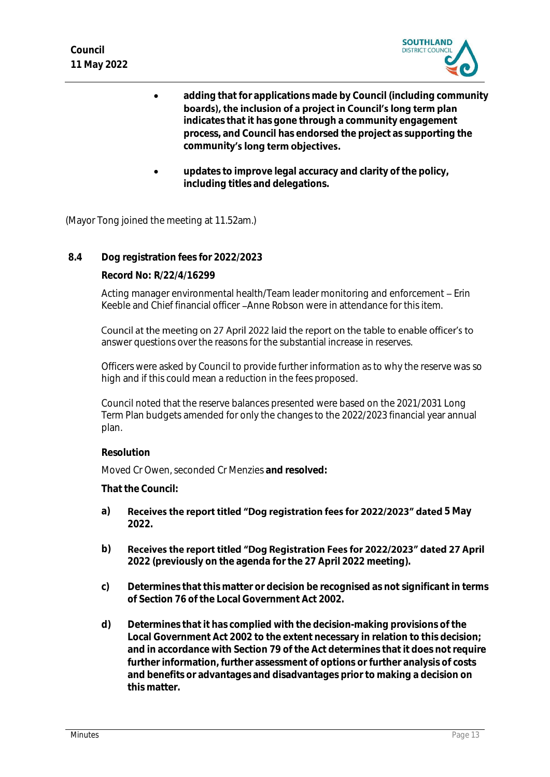

- **adding that for applications made by Council (including community**  boards), the inclusion of a project in Council's long term plan **indicates that it has gone through a community engagement process, and Council has endorsed the project as supporting the**  community's long term objectives.
- **updates to improve legal accuracy and clarity of the policy, including titles and delegations.**

(Mayor Tong joined the meeting at 11.52am.)

**8.4 Dog registration fees for 2022/2023**

**Record No: R/22/4/16299**

Acting manager environmental health/Team leader monitoring and enforcement - Erin Keeble and Chief financial officer Anne Robson were in attendance for this item.

Council at the meeting on 27 April 2022 laid the report on the table to enable officer's to answer questions over the reasons for the substantial increase in reserves.

Officers were asked by Council to provide further information as to why the reserve was so high and if this could mean a reduction in the fees proposed.

Council noted that the reserve balances presented were based on the 2021/2031 Long Term Plan budgets amended for only the changes to the 2022/2023 financial year annual plan.

# **Resolution**

Moved Cr Owen, seconded Cr Menzies **and resolved:**

- a) **Receives the report titled "Dog registration fees for 2022/2023" dated 5 May 2022.**
- **b)** Receives the report titled "Dog Registration Fees for 2022/2023" dated 27 April **2022 (previously on the agenda for the 27 April 2022 meeting).**
- **c) Determines that this matter or decision be recognised as not significant in terms of Section 76 of the Local Government Act 2002.**
- **d) Determines that it has complied with the decision-making provisions of the Local Government Act 2002 to the extent necessary in relation to this decision; and in accordance with Section 79 of the Act determines that it does not require further information, further assessment of options or further analysis of costs and benefits or advantages and disadvantages prior to making a decision on this matter.**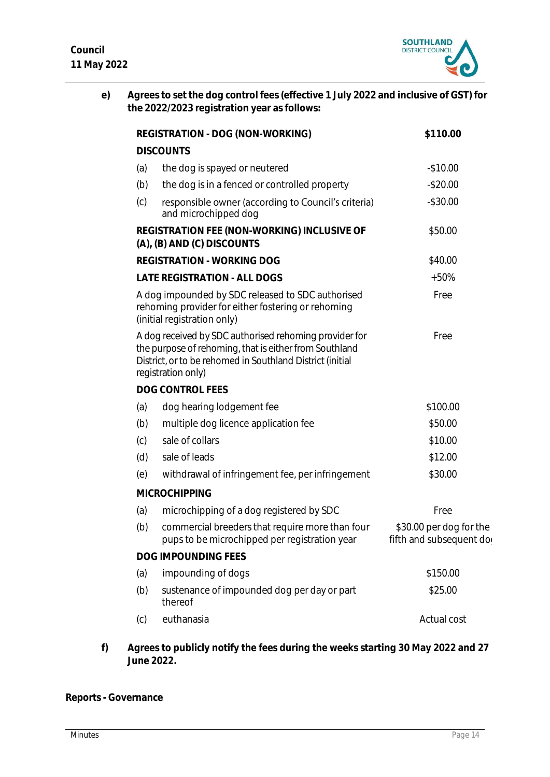

**e) Agrees to set the dog control fees (effective 1 July 2022 and inclusive of GST) for the 2022/2023 registration year as follows:**

|     | REGISTRATION - DOG (NON-WORKING)                                                                                                                                                                    | \$110.00                                           |
|-----|-----------------------------------------------------------------------------------------------------------------------------------------------------------------------------------------------------|----------------------------------------------------|
|     | <b>DISCOUNTS</b>                                                                                                                                                                                    |                                                    |
| (a) | the dog is spayed or neutered                                                                                                                                                                       | $-$10.00$                                          |
| (b) | the dog is in a fenced or controlled property                                                                                                                                                       | $-$20.00$                                          |
| (c) | responsible owner (according to Council's criteria)<br>and microchipped dog                                                                                                                         | $-$30.00$                                          |
|     | REGISTRATION FEE (NON-WORKING) INCLUSIVE OF<br>(A), (B) AND (C) DISCOUNTS                                                                                                                           | \$50.00                                            |
|     | <b>REGISTRATION - WORKING DOG</b>                                                                                                                                                                   | \$40.00                                            |
|     | LATE REGISTRATION - ALL DOGS                                                                                                                                                                        | $+50%$                                             |
|     | A dog impounded by SDC released to SDC authorised<br>rehoming provider for either fostering or rehoming<br>(initial registration only)                                                              | Free                                               |
|     | A dog received by SDC authorised rehoming provider for<br>the purpose of rehoming, that is either from Southland<br>District, or to be rehomed in Southland District (initial<br>registration only) | Free                                               |
|     | DOG CONTROL FEES                                                                                                                                                                                    |                                                    |
| (a) | dog hearing lodgement fee                                                                                                                                                                           | \$100.00                                           |
| (b) | multiple dog licence application fee                                                                                                                                                                | \$50.00                                            |
| (c) | sale of collars                                                                                                                                                                                     | \$10.00                                            |
| (d) | sale of leads                                                                                                                                                                                       | \$12.00                                            |
| (e) | withdrawal of infringement fee, per infringement                                                                                                                                                    | \$30.00                                            |
|     | <b>MICROCHIPPING</b>                                                                                                                                                                                |                                                    |
| (a) | microchipping of a dog registered by SDC                                                                                                                                                            | Free                                               |
| (b) | commercial breeders that require more than four<br>pups to be microchipped per registration year                                                                                                    | \$30.00 per dog for the<br>fifth and subsequent do |
|     | DOG IMPOUNDING FEES                                                                                                                                                                                 |                                                    |
| (a) | impounding of dogs                                                                                                                                                                                  | \$150.00                                           |
| (b) | sustenance of impounded dog per day or part<br>thereof                                                                                                                                              | \$25.00                                            |
| (c) | euthanasia                                                                                                                                                                                          | Actual cost                                        |

**f) Agrees to publicly notify the fees during the weeks starting 30 May 2022 and 27 June 2022.**

**Reports - Governance**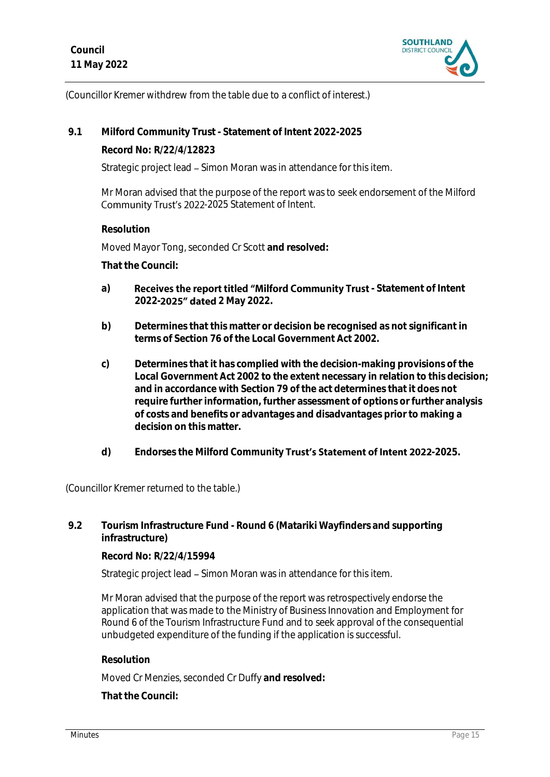

(Councillor Kremer withdrew from the table due to a conflict of interest.)

**9.1 Milford Community Trust - Statement of Intent 2022-2025**

**Record No: R/22/4/12823**

Strategic project lead – Simon Moran was in attendance for this item.

Mr Moran advised that the purpose of the report was to seek endorsement of the Milford Community Trust's 2022-2025 Statement of Intent.

**Resolution**

Moved Mayor Tong, seconded Cr Scott **and resolved:**

**That the Council:**

- a) **Receives the report titled "Milford Community Trust** Statement of Intent **2022- 2 May 2022.**
- **b) Determines that this matter or decision be recognised as not significant in terms of Section 76 of the Local Government Act 2002.**
- **c) Determines that it has complied with the decision-making provisions of the Local Government Act 2002 to the extent necessary in relation to this decision; and in accordance with Section 79 of the act determines that it does not require further information, further assessment of options or further analysis of costs and benefits or advantages and disadvantages prior to making a decision on this matter.**
- d) Endorses the Milford Community **Trust's Statement of Intent 2022**-2025.

(Councillor Kremer returned to the table.)

**9.2 Tourism Infrastructure Fund - Round 6 (Matariki Wayfinders and supporting infrastructure)**

**Record No: R/22/4/15994**

Strategic project lead – Simon Moran was in attendance for this item.

Mr Moran advised that the purpose of the report was retrospectively endorse the application that was made to the Ministry of Business Innovation and Employment for Round 6 of the Tourism Infrastructure Fund and to seek approval of the consequential unbudgeted expenditure of the funding if the application is successful.

# **Resolution**

Moved Cr Menzies, seconded Cr Duffy **and resolved:**